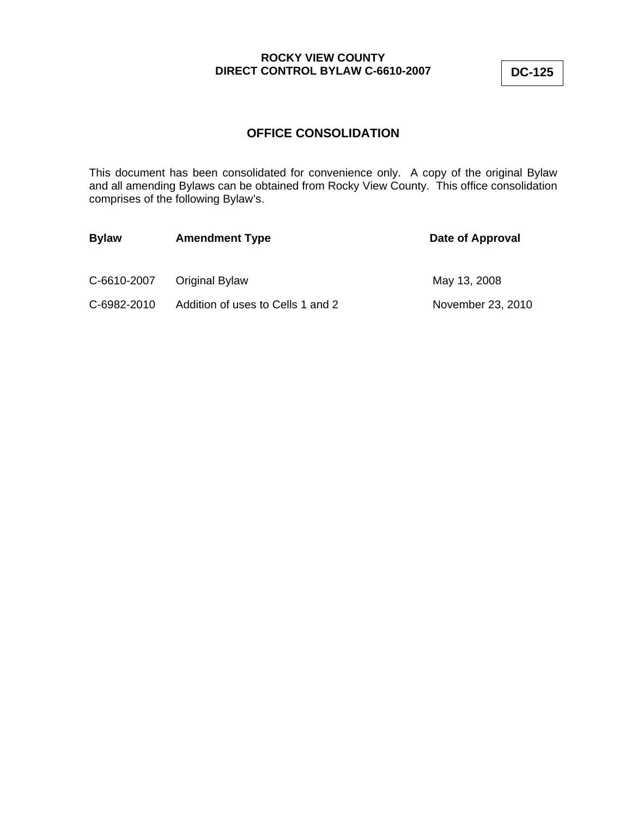# **OFFICE CONSOLIDATION**

This document has been consolidated for convenience only. A copy of the original Bylaw and all amending Bylaws can be obtained from Rocky View County. This office consolidation comprises of the following Bylaw's.

| <b>Bylaw</b> | <b>Amendment Type</b>             | Date of Approval  |
|--------------|-----------------------------------|-------------------|
| C-6610-2007  | <b>Original Bylaw</b>             | May 13, 2008      |
| C-6982-2010  | Addition of uses to Cells 1 and 2 | November 23, 2010 |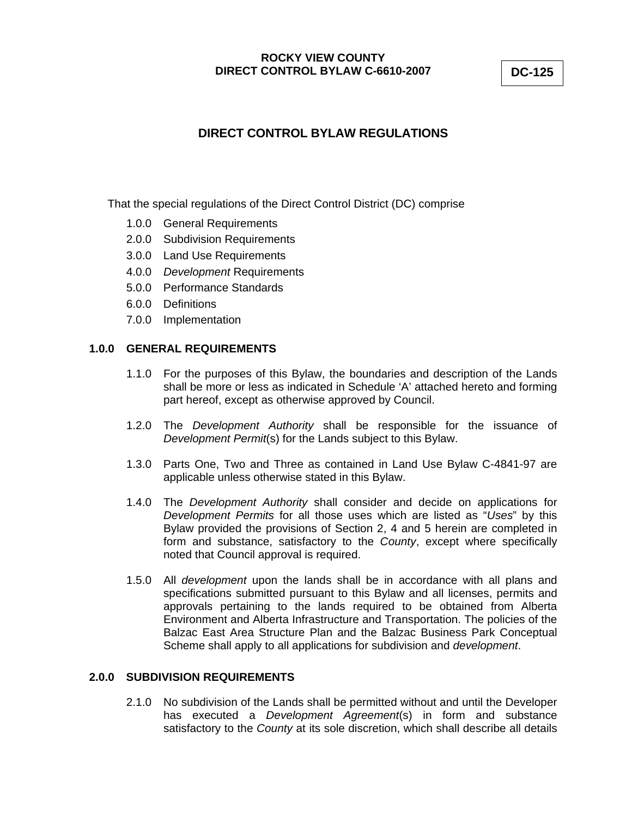# **DIRECT CONTROL BYLAW REGULATIONS**

That the special regulations of the Direct Control District (DC) comprise

- 1.0.0 General Requirements
- 2.0.0 Subdivision Requirements
- 3.0.0 Land Use Requirements
- 4.0.0 *Development* Requirements
- 5.0.0 Performance Standards
- 6.0.0 Definitions
- 7.0.0 Implementation

### **1.0.0 GENERAL REQUIREMENTS**

- 1.1.0 For the purposes of this Bylaw, the boundaries and description of the Lands shall be more or less as indicated in Schedule 'A' attached hereto and forming part hereof, except as otherwise approved by Council.
- 1.2.0 The *Development Authority* shall be responsible for the issuance of *Development Permit*(s) for the Lands subject to this Bylaw.
- 1.3.0 Parts One, Two and Three as contained in Land Use Bylaw C-4841-97 are applicable unless otherwise stated in this Bylaw.
- 1.4.0 The *Development Authority* shall consider and decide on applications for *Development Permits* for all those uses which are listed as "*Uses*" by this Bylaw provided the provisions of Section 2, 4 and 5 herein are completed in form and substance, satisfactory to the *County*, except where specifically noted that Council approval is required.
- 1.5.0 All *development* upon the lands shall be in accordance with all plans and specifications submitted pursuant to this Bylaw and all licenses, permits and approvals pertaining to the lands required to be obtained from Alberta Environment and Alberta Infrastructure and Transportation. The policies of the Balzac East Area Structure Plan and the Balzac Business Park Conceptual Scheme shall apply to all applications for subdivision and *development*.

# **2.0.0 SUBDIVISION REQUIREMENTS**

2.1.0 No subdivision of the Lands shall be permitted without and until the Developer has executed a *Development Agreement*(s) in form and substance satisfactory to the *County* at its sole discretion, which shall describe all details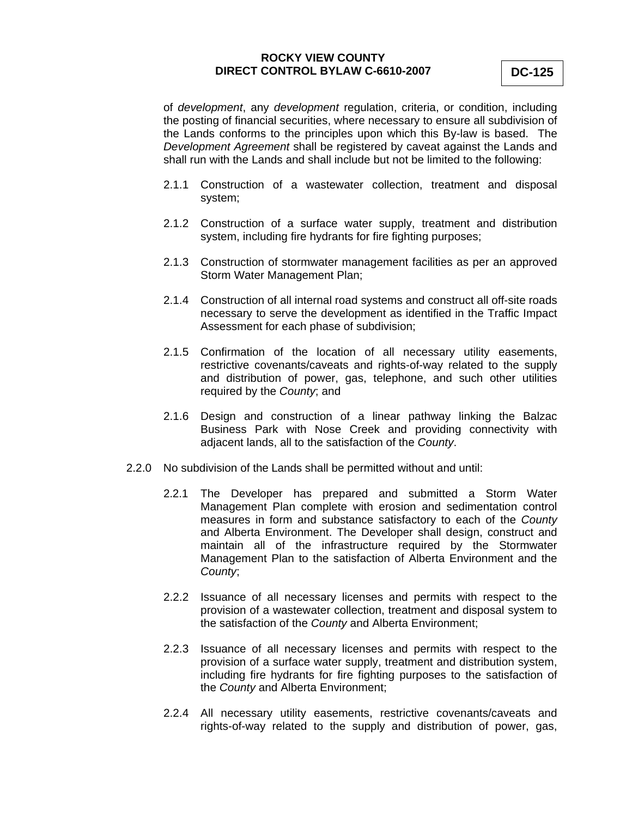of *development*, any *development* regulation, criteria, or condition, including the posting of financial securities, where necessary to ensure all subdivision of the Lands conforms to the principles upon which this By-law is based. The *Development Agreement* shall be registered by caveat against the Lands and shall run with the Lands and shall include but not be limited to the following:

- 2.1.1 Construction of a wastewater collection, treatment and disposal system;
- 2.1.2 Construction of a surface water supply, treatment and distribution system, including fire hydrants for fire fighting purposes;
- 2.1.3 Construction of stormwater management facilities as per an approved Storm Water Management Plan;
- 2.1.4 Construction of all internal road systems and construct all off-site roads necessary to serve the development as identified in the Traffic Impact Assessment for each phase of subdivision;
- 2.1.5 Confirmation of the location of all necessary utility easements, restrictive covenants/caveats and rights-of-way related to the supply and distribution of power, gas, telephone, and such other utilities required by the *County*; and
- 2.1.6 Design and construction of a linear pathway linking the Balzac Business Park with Nose Creek and providing connectivity with adjacent lands, all to the satisfaction of the *County*.
- 2.2.0 No subdivision of the Lands shall be permitted without and until:
	- 2.2.1 The Developer has prepared and submitted a Storm Water Management Plan complete with erosion and sedimentation control measures in form and substance satisfactory to each of the *County* and Alberta Environment. The Developer shall design, construct and maintain all of the infrastructure required by the Stormwater Management Plan to the satisfaction of Alberta Environment and the *County*;
	- 2.2.2 Issuance of all necessary licenses and permits with respect to the provision of a wastewater collection, treatment and disposal system to the satisfaction of the *County* and Alberta Environment;
	- 2.2.3 Issuance of all necessary licenses and permits with respect to the provision of a surface water supply, treatment and distribution system, including fire hydrants for fire fighting purposes to the satisfaction of the *County* and Alberta Environment;
	- 2.2.4 All necessary utility easements, restrictive covenants/caveats and rights-of-way related to the supply and distribution of power, gas,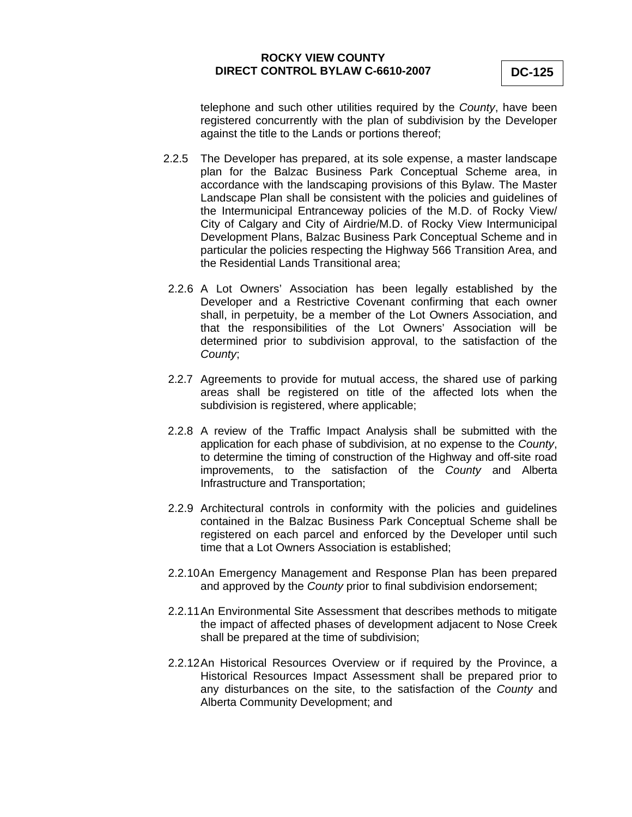telephone and such other utilities required by the *County*, have been registered concurrently with the plan of subdivision by the Developer against the title to the Lands or portions thereof;

- 2.2.5 The Developer has prepared, at its sole expense, a master landscape plan for the Balzac Business Park Conceptual Scheme area, in accordance with the landscaping provisions of this Bylaw. The Master Landscape Plan shall be consistent with the policies and guidelines of the Intermunicipal Entranceway policies of the M.D. of Rocky View/ City of Calgary and City of Airdrie/M.D. of Rocky View Intermunicipal Development Plans, Balzac Business Park Conceptual Scheme and in particular the policies respecting the Highway 566 Transition Area, and the Residential Lands Transitional area;
- 2.2.6 A Lot Owners' Association has been legally established by the Developer and a Restrictive Covenant confirming that each owner shall, in perpetuity, be a member of the Lot Owners Association, and that the responsibilities of the Lot Owners' Association will be determined prior to subdivision approval, to the satisfaction of the *County*;
- 2.2.7 Agreements to provide for mutual access, the shared use of parking areas shall be registered on title of the affected lots when the subdivision is registered, where applicable;
- 2.2.8 A review of the Traffic Impact Analysis shall be submitted with the application for each phase of subdivision, at no expense to the *County*, to determine the timing of construction of the Highway and off-site road improvements, to the satisfaction of the *County* and Alberta Infrastructure and Transportation;
- 2.2.9 Architectural controls in conformity with the policies and guidelines contained in the Balzac Business Park Conceptual Scheme shall be registered on each parcel and enforced by the Developer until such time that a Lot Owners Association is established;
- 2.2.10 An Emergency Management and Response Plan has been prepared and approved by the *County* prior to final subdivision endorsement;
- 2.2.11 An Environmental Site Assessment that describes methods to mitigate the impact of affected phases of development adjacent to Nose Creek shall be prepared at the time of subdivision;
- 2.2.12 An Historical Resources Overview or if required by the Province, a Historical Resources Impact Assessment shall be prepared prior to any disturbances on the site, to the satisfaction of the *County* and Alberta Community Development; and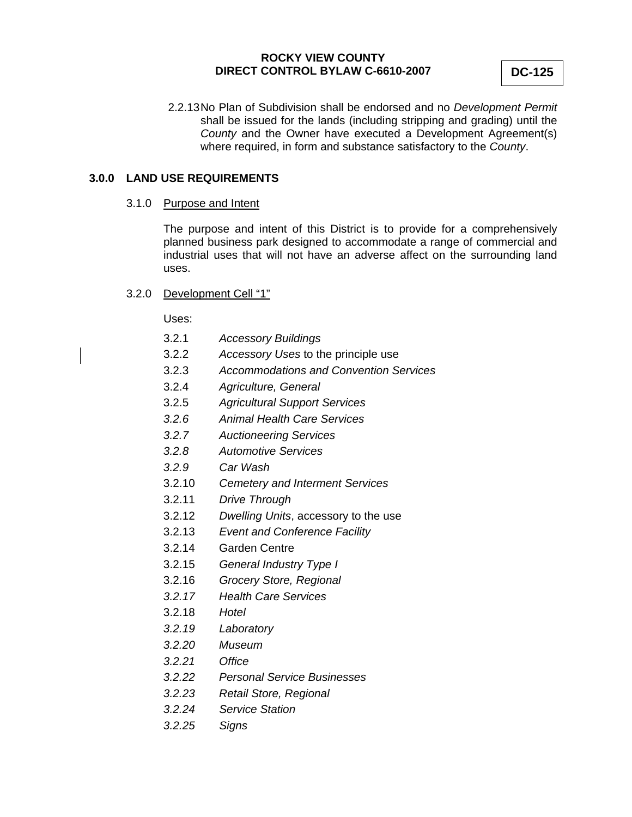2.2.13 No Plan of Subdivision shall be endorsed and no *Development Permit* shall be issued for the lands (including stripping and grading) until the *County* and the Owner have executed a Development Agreement(s) where required, in form and substance satisfactory to the *County*.

# **3.0.0 LAND USE REQUIREMENTS**

#### 3.1.0 Purpose and Intent

The purpose and intent of this District is to provide for a comprehensively planned business park designed to accommodate a range of commercial and industrial uses that will not have an adverse affect on the surrounding land uses.

# 3.2.0 Development Cell "1"

Uses:

- 3.2.1 *Accessory Buildings*
- 3.2.2 *Accessory Uses* to the principle use
- 3.2.3 *Accommodations and Convention Services*
- 3.2.4 *Agriculture, General*
- 3.2.5 *Agricultural Support Services*
- *3.2.6 Animal Health Care Services*
- *3.2.7 Auctioneering Services*
- *3.2.8 Automotive Services*
- *3.2.9 Car Wash*
- 3.2.10 *Cemetery and Interment Services*
- 3.2.11 *Drive Through*
- 3.2.12 *Dwelling Units*, accessory to the use
- 3.2.13 *Event and Conference Facility*
- 3.2.14 Garden Centre
- 3.2.15 *General Industry Type I*
- 3.2.16 *Grocery Store, Regional*
- *3.2.17 Health Care Services*
- 3.2.18 *Hotel*
- *3.2.19 Laboratory*
- *3.2.20 Museum*
- *3.2.21 Office*
- *3.2.22 Personal Service Businesses*
- *3.2.23 Retail Store, Regional*
- *3.2.24 Service Station*
- *3.2.25 Signs*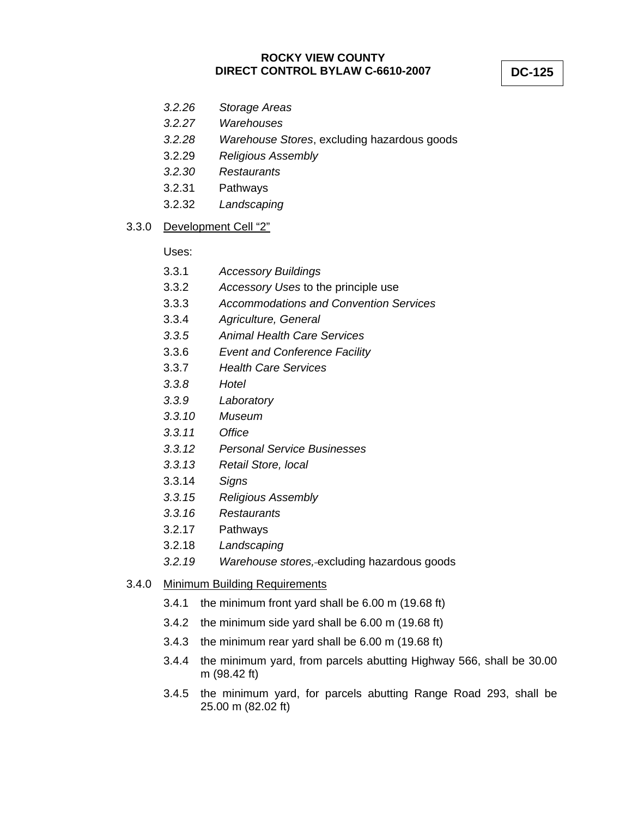- *3.2.26 Storage Areas*
- *3.2.27 Warehouses*
- *3.2.28 Warehouse Stores*, excluding hazardous goods
- 3.2.29 *Religious Assembly*
- *3.2.30 Restaurants*
- 3.2.31 Pathways
- 3.2.32 *Landscaping*

#### 3.3.0 Development Cell "2"

Uses:

- 3.3.1 *Accessory Buildings*
- 3.3.2 *Accessory Uses* to the principle use
- 3.3.3 *Accommodations and Convention Services*
- 3.3.4 *Agriculture, General*
- *3.3.5 Animal Health Care Services*
- 3.3.6 *Event and Conference Facility*
- 3.3.7 *Health Care Services*
- *3.3.8 Hotel*
- *3.3.9 Laboratory*
- *3.3.10 Museum*
- *3.3.11 Office*
- *3.3.12 Personal Service Businesses*
- *3.3.13 Retail Store, local*
- 3.3.14 *Signs*
- *3.3.15 Religious Assembly*
- *3.3.16 Restaurants*
- 3.2.17 Pathways
- 3.2.18 *Landscaping*
- *3.2.19 Warehouse stores,* excluding hazardous goods

# 3.4.0 Minimum Building Requirements

- 3.4.1 the minimum front yard shall be 6.00 m (19.68 ft)
- 3.4.2 the minimum side yard shall be 6.00 m (19.68 ft)
- 3.4.3 the minimum rear yard shall be 6.00 m (19.68 ft)
- 3.4.4 the minimum yard, from parcels abutting Highway 566, shall be 30.00 m (98.42 ft)
- 3.4.5 the minimum yard, for parcels abutting Range Road 293, shall be 25.00 m (82.02 ft)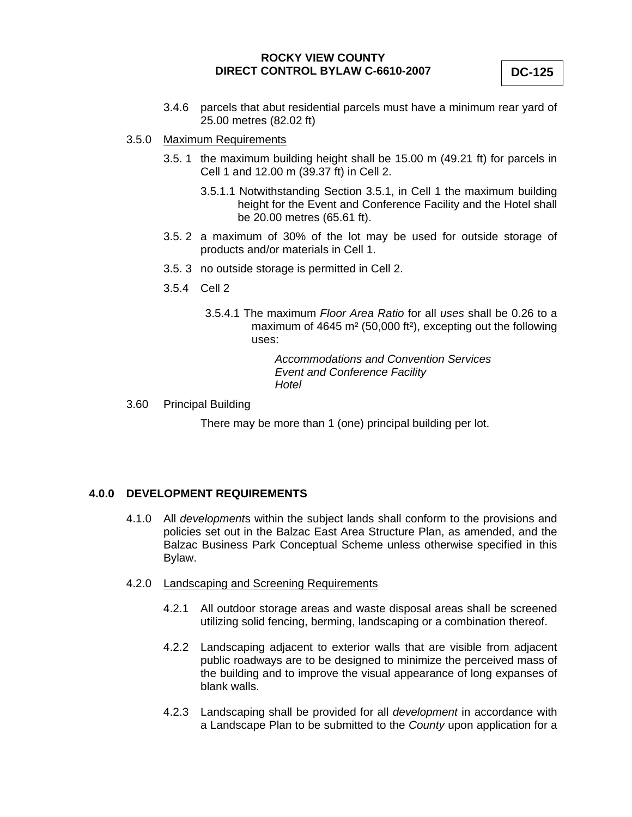3.4.6 parcels that abut residential parcels must have a minimum rear yard of 25.00 metres (82.02 ft)

# 3.5.0 Maximum Requirements

- 3.5. 1 the maximum building height shall be 15.00 m (49.21 ft) for parcels in Cell 1 and 12.00 m (39.37 ft) in Cell 2.
	- 3.5.1.1 Notwithstanding Section 3.5.1, in Cell 1 the maximum building height for the Event and Conference Facility and the Hotel shall be 20.00 metres (65.61 ft).
- 3.5. 2 a maximum of 30% of the lot may be used for outside storage of products and/or materials in Cell 1.
- 3.5. 3 no outside storage is permitted in Cell 2.
- 3.5.4 Cell 2
	- 3.5.4.1 The maximum *Floor Area Ratio* for all *uses* shall be 0.26 to a maximum of 4645 m² (50,000 ft²), excepting out the following uses:

*Accommodations and Convention Services Event and Conference Facility Hotel* 

3.60 Principal Building

There may be more than 1 (one) principal building per lot.

### **4.0.0 DEVELOPMENT REQUIREMENTS**

- 4.1.0 All *development*s within the subject lands shall conform to the provisions and policies set out in the Balzac East Area Structure Plan, as amended, and the Balzac Business Park Conceptual Scheme unless otherwise specified in this Bylaw.
- 4.2.0 Landscaping and Screening Requirements
	- 4.2.1 All outdoor storage areas and waste disposal areas shall be screened utilizing solid fencing, berming, landscaping or a combination thereof.
	- 4.2.2 Landscaping adjacent to exterior walls that are visible from adjacent public roadways are to be designed to minimize the perceived mass of the building and to improve the visual appearance of long expanses of blank walls.
	- 4.2.3 Landscaping shall be provided for all *development* in accordance with a Landscape Plan to be submitted to the *County* upon application for a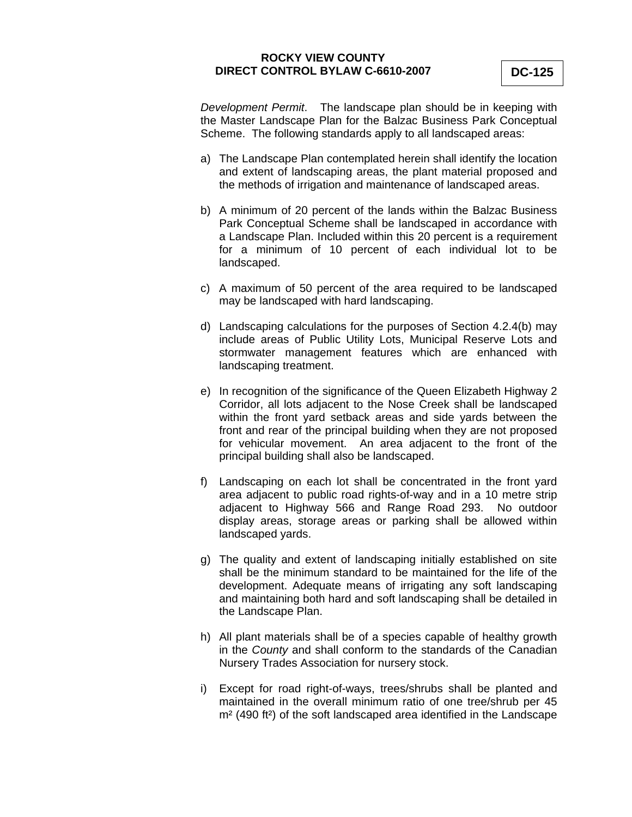*Development Permit*. The landscape plan should be in keeping with the Master Landscape Plan for the Balzac Business Park Conceptual Scheme. The following standards apply to all landscaped areas:

- a) The Landscape Plan contemplated herein shall identify the location and extent of landscaping areas, the plant material proposed and the methods of irrigation and maintenance of landscaped areas.
- b) A minimum of 20 percent of the lands within the Balzac Business Park Conceptual Scheme shall be landscaped in accordance with a Landscape Plan. Included within this 20 percent is a requirement for a minimum of 10 percent of each individual lot to be landscaped.
- c) A maximum of 50 percent of the area required to be landscaped may be landscaped with hard landscaping.
- d) Landscaping calculations for the purposes of Section 4.2.4(b) may include areas of Public Utility Lots, Municipal Reserve Lots and stormwater management features which are enhanced with landscaping treatment.
- e) In recognition of the significance of the Queen Elizabeth Highway 2 Corridor, all lots adjacent to the Nose Creek shall be landscaped within the front yard setback areas and side yards between the front and rear of the principal building when they are not proposed for vehicular movement. An area adjacent to the front of the principal building shall also be landscaped.
- f) Landscaping on each lot shall be concentrated in the front yard area adjacent to public road rights-of-way and in a 10 metre strip adjacent to Highway 566 and Range Road 293. No outdoor display areas, storage areas or parking shall be allowed within landscaped yards.
- g) The quality and extent of landscaping initially established on site shall be the minimum standard to be maintained for the life of the development. Adequate means of irrigating any soft landscaping and maintaining both hard and soft landscaping shall be detailed in the Landscape Plan.
- h) All plant materials shall be of a species capable of healthy growth in the *County* and shall conform to the standards of the Canadian Nursery Trades Association for nursery stock.
- i) Except for road right-of-ways, trees/shrubs shall be planted and maintained in the overall minimum ratio of one tree/shrub per 45 m² (490 ft²) of the soft landscaped area identified in the Landscape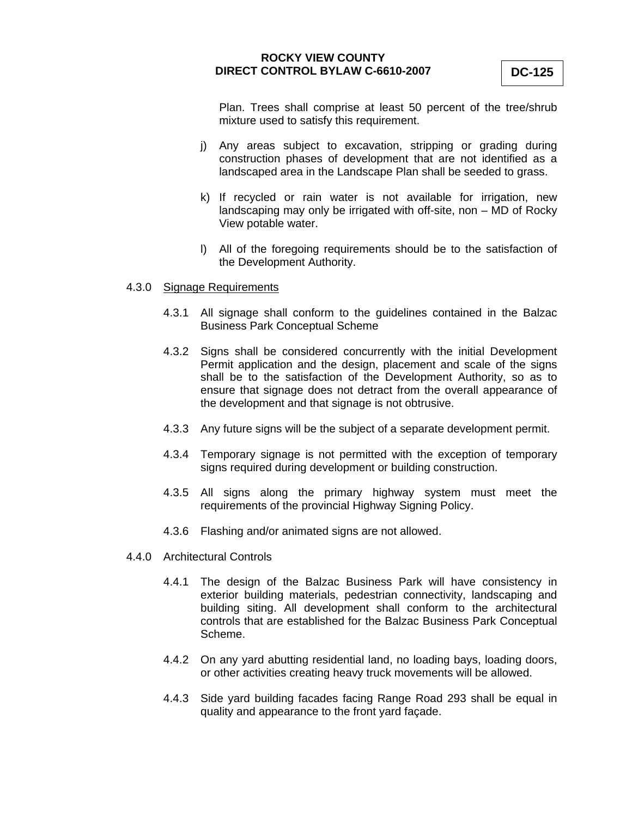Plan. Trees shall comprise at least 50 percent of the tree/shrub mixture used to satisfy this requirement.

- j) Any areas subject to excavation, stripping or grading during construction phases of development that are not identified as a landscaped area in the Landscape Plan shall be seeded to grass.
- k) If recycled or rain water is not available for irrigation, new landscaping may only be irrigated with off-site, non – MD of Rocky View potable water.
- l) All of the foregoing requirements should be to the satisfaction of the Development Authority.

#### 4.3.0 Signage Requirements

- 4.3.1 All signage shall conform to the guidelines contained in the Balzac Business Park Conceptual Scheme
- 4.3.2 Signs shall be considered concurrently with the initial Development Permit application and the design, placement and scale of the signs shall be to the satisfaction of the Development Authority, so as to ensure that signage does not detract from the overall appearance of the development and that signage is not obtrusive.
- 4.3.3 Any future signs will be the subject of a separate development permit.
- 4.3.4 Temporary signage is not permitted with the exception of temporary signs required during development or building construction.
- 4.3.5 All signs along the primary highway system must meet the requirements of the provincial Highway Signing Policy.
- 4.3.6 Flashing and/or animated signs are not allowed.
- 4.4.0 Architectural Controls
	- 4.4.1 The design of the Balzac Business Park will have consistency in exterior building materials, pedestrian connectivity, landscaping and building siting. All development shall conform to the architectural controls that are established for the Balzac Business Park Conceptual Scheme.
	- 4.4.2 On any yard abutting residential land, no loading bays, loading doors, or other activities creating heavy truck movements will be allowed.
	- 4.4.3 Side yard building facades facing Range Road 293 shall be equal in quality and appearance to the front yard façade.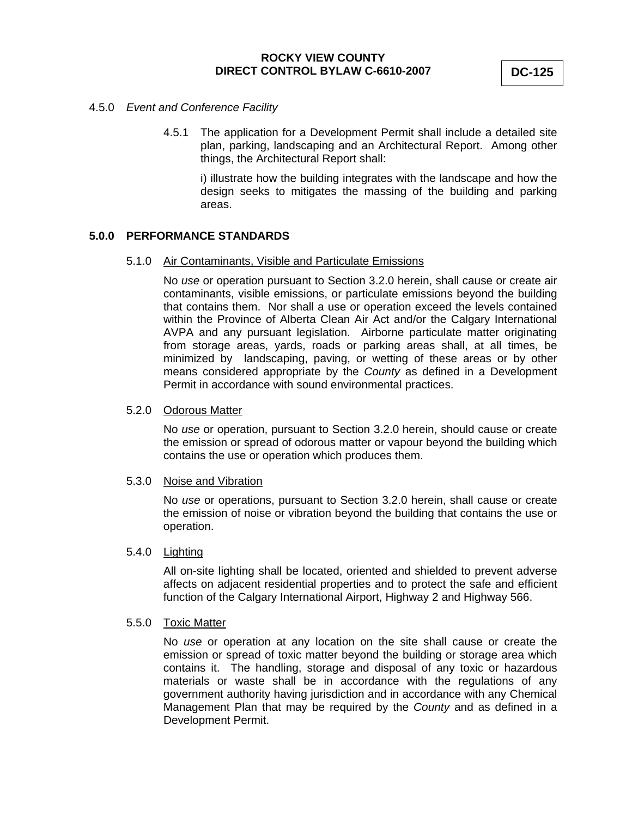#### 4.5.0 *Event and Conference Facility*

4.5.1 The application for a Development Permit shall include a detailed site plan, parking, landscaping and an Architectural Report. Among other things, the Architectural Report shall:

i) illustrate how the building integrates with the landscape and how the design seeks to mitigates the massing of the building and parking areas.

# **5.0.0 PERFORMANCE STANDARDS**

#### 5.1.0 Air Contaminants, Visible and Particulate Emissions

 No *use* or operation pursuant to Section 3.2.0 herein, shall cause or create air contaminants, visible emissions, or particulate emissions beyond the building that contains them. Nor shall a use or operation exceed the levels contained within the Province of Alberta Clean Air Act and/or the Calgary International AVPA and any pursuant legislation. Airborne particulate matter originating from storage areas, yards, roads or parking areas shall, at all times, be minimized by landscaping, paving, or wetting of these areas or by other means considered appropriate by the *County* as defined in a Development Permit in accordance with sound environmental practices.

#### 5.2.0 Odorous Matter

 No *use* or operation, pursuant to Section 3.2.0 herein, should cause or create the emission or spread of odorous matter or vapour beyond the building which contains the use or operation which produces them.

### 5.3.0 Noise and Vibration

 No *use* or operations, pursuant to Section 3.2.0 herein, shall cause or create the emission of noise or vibration beyond the building that contains the use or operation.

# 5.4.0 Lighting

 All on-site lighting shall be located, oriented and shielded to prevent adverse affects on adjacent residential properties and to protect the safe and efficient function of the Calgary International Airport, Highway 2 and Highway 566.

### 5.5.0 Toxic Matter

 No *use* or operation at any location on the site shall cause or create the emission or spread of toxic matter beyond the building or storage area which contains it. The handling, storage and disposal of any toxic or hazardous materials or waste shall be in accordance with the regulations of any government authority having jurisdiction and in accordance with any Chemical Management Plan that may be required by the *County* and as defined in a Development Permit.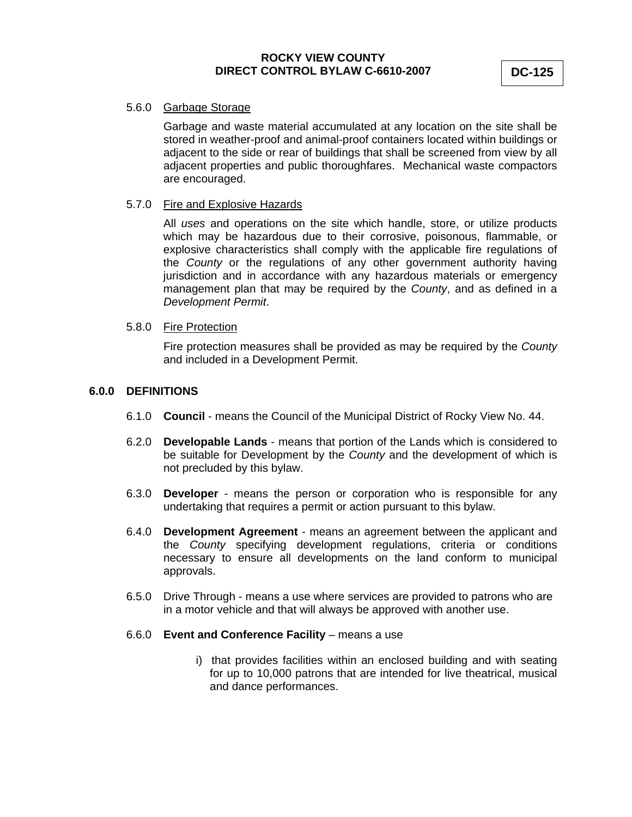# 5.6.0 Garbage Storage

 Garbage and waste material accumulated at any location on the site shall be stored in weather-proof and animal-proof containers located within buildings or adjacent to the side or rear of buildings that shall be screened from view by all adjacent properties and public thoroughfares. Mechanical waste compactors are encouraged.

#### 5.7.0 Fire and Explosive Hazards

 All *uses* and operations on the site which handle, store, or utilize products which may be hazardous due to their corrosive, poisonous, flammable, or explosive characteristics shall comply with the applicable fire regulations of the *County* or the regulations of any other government authority having jurisdiction and in accordance with any hazardous materials or emergency management plan that may be required by the *County*, and as defined in a *Development Permit*.

#### 5.8.0 Fire Protection

 Fire protection measures shall be provided as may be required by the *County* and included in a Development Permit.

#### **6.0.0 DEFINITIONS**

- 6.1.0 **Council** means the Council of the Municipal District of Rocky View No. 44.
- 6.2.0 **Developable Lands** means that portion of the Lands which is considered to be suitable for Development by the *County* and the development of which is not precluded by this bylaw.
- 6.3.0 **Developer** means the person or corporation who is responsible for any undertaking that requires a permit or action pursuant to this bylaw.
- 6.4.0 **Development Agreement** means an agreement between the applicant and the *County* specifying development regulations, criteria or conditions necessary to ensure all developments on the land conform to municipal approvals.
- 6.5.0 Drive Through means a use where services are provided to patrons who are in a motor vehicle and that will always be approved with another use.
- 6.6.0 **Event and Conference Facility** means a use
	- i) that provides facilities within an enclosed building and with seating for up to 10,000 patrons that are intended for live theatrical, musical and dance performances.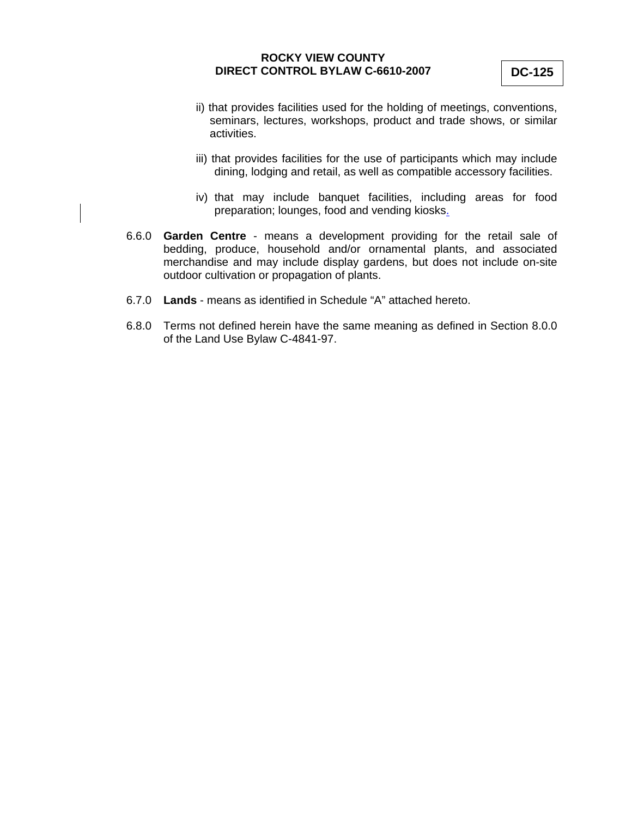- ii) that provides facilities used for the holding of meetings, conventions, seminars, lectures, workshops, product and trade shows, or similar activities.
- iii) that provides facilities for the use of participants which may include dining, lodging and retail, as well as compatible accessory facilities.
- iv) that may include banquet facilities, including areas for food preparation; lounges, food and vending kiosks.
- 6.6.0 **Garden Centre** means a development providing for the retail sale of bedding, produce, household and/or ornamental plants, and associated merchandise and may include display gardens, but does not include on-site outdoor cultivation or propagation of plants.
- 6.7.0 **Lands**  means as identified in Schedule "A" attached hereto.
- 6.8.0 Terms not defined herein have the same meaning as defined in Section 8.0.0 of the Land Use Bylaw C-4841-97.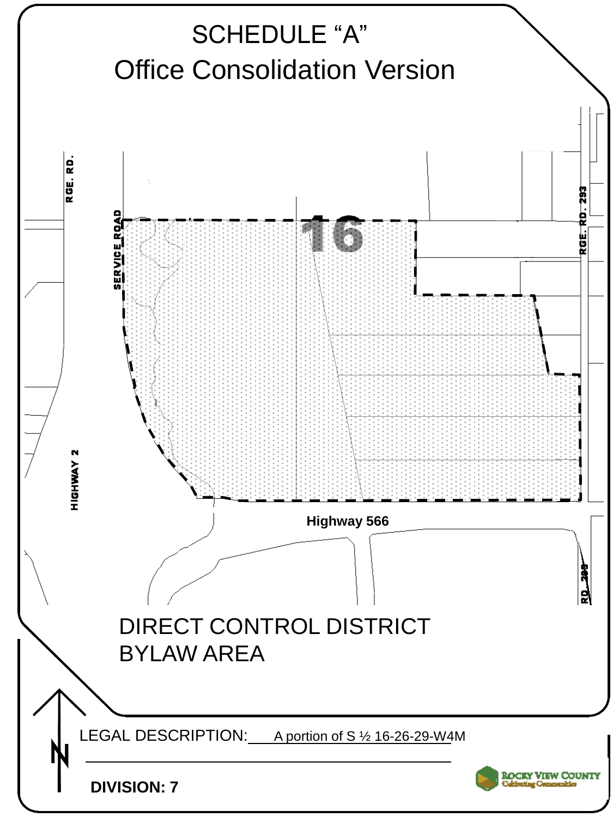